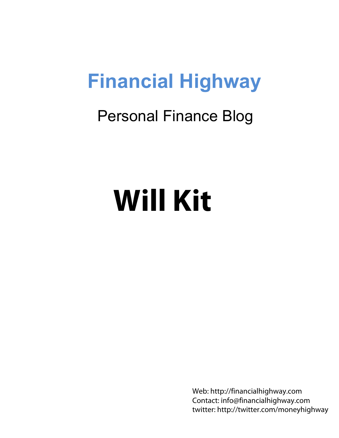## **Financial Highway**

### Personal Finance Blog

# **Will Kit**

Web: http://financialhighway.com Contact: info@financialhighway.com twitter: http://twitter.com/moneyhighway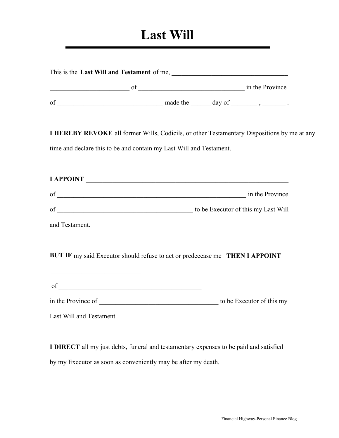#### **Last Will**

|                                                                                                                       | of $\frac{\qquad \qquad \text{made the }$ $\qquad \qquad \text{day of }$ .                  |  |
|-----------------------------------------------------------------------------------------------------------------------|---------------------------------------------------------------------------------------------|--|
|                                                                                                                       | I HEREBY REVOKE all former Wills, Codicils, or other Testamentary Dispositions by me at any |  |
|                                                                                                                       | time and declare this to be and contain my Last Will and Testament.                         |  |
|                                                                                                                       | I APPOINT                                                                                   |  |
|                                                                                                                       |                                                                                             |  |
|                                                                                                                       |                                                                                             |  |
| and Testament.                                                                                                        |                                                                                             |  |
|                                                                                                                       | BUT IF my said Executor should refuse to act or predecease me THEN I APPOINT                |  |
| <u> 1989 - Johann Barn, mars and de Branch Barn, mars and de Branch Barn, mars and de Branch Barn, mars and de Br</u> |                                                                                             |  |
|                                                                                                                       |                                                                                             |  |

**I DIRECT** all my just debts, funeral and testamentary expenses to be paid and satisfied by my Executor as soon as conveniently may be after my death.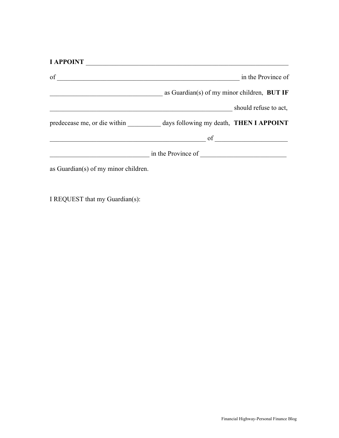| <b>I APPOINT</b>                                                            |                                             |                       |
|-----------------------------------------------------------------------------|---------------------------------------------|-----------------------|
| of                                                                          |                                             | in the Province of    |
|                                                                             | as Guardian(s) of my minor children, BUT IF |                       |
|                                                                             |                                             | should refuse to act, |
| predecease me, or die within days following my death, <b>THEN I APPOINT</b> |                                             |                       |
|                                                                             |                                             |                       |
|                                                                             | in the Province of                          |                       |
| as Guardian(s) of my minor children.                                        |                                             |                       |

I REQUEST that my Guardian(s):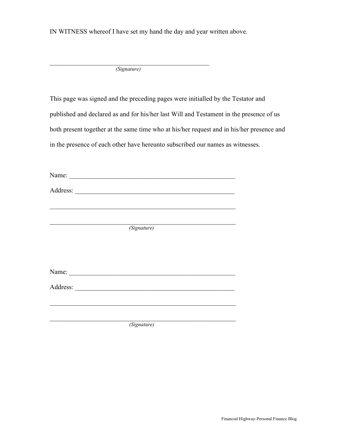IN WITNESS whereof I have set my hand the day and year written above.

 $\overline{\phantom{a}}$  , and the contract of the contract of the contract of the contract of the contract of the contract of the contract of the contract of the contract of the contract of the contract of the contract of the contrac  *(Signature)*

This page was signed and the preceding pages were initialled by the Testator and published and declared as and for his/her last Will and Testament in the presence of us both present together at the same time who at his/her request and in his/her presence and in the presence of each other have hereunto subscribed our names as witnesses.

| Name: $\frac{1}{2}$ |  |
|---------------------|--|
|                     |  |
|                     |  |
|                     |  |
| (Signature)         |  |
|                     |  |
|                     |  |
| Name: $\frac{1}{2}$ |  |
|                     |  |
|                     |  |
|                     |  |
| (Signature)         |  |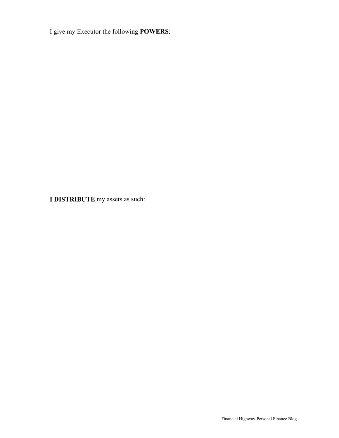I give my Executor the following **POWERS**:

**I DISTRIBUTE** my assets as such: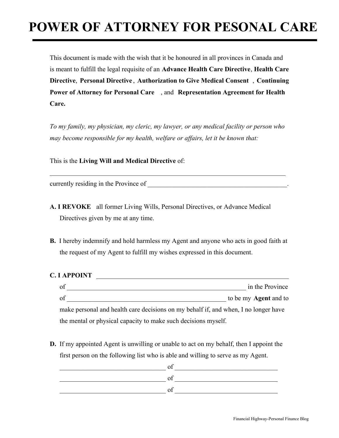#### **POWER OF ATTORNEY FOR PESONAL CARE**

This document is made with the wish that it be honoured in all provinces in Canada and is meant to fulfill the legal requisite of an **Advance Health Care Directive**, **Health Care Directive**, **Personal Directive** , **Authorization to Give Medical Consent** , **Continuing Power of Attorney for Personal Care** , and **Representation Agreement for Health Care.** 

*To my family, my physician, my cleric, my lawyer, or any medical facility or person who may become responsible for my health, welfare or affairs, let it be known that:* 

 $\_$  , and the set of the set of the set of the set of the set of the set of the set of the set of the set of the set of the set of the set of the set of the set of the set of the set of the set of the set of the set of th

This is the **Living Will and Medical Directive** of:

currently residing in the Province of

- **A. I REVOKE** all former Living Wills, Personal Directives, or Advance Medical Directives given by me at any time.
- **B.** I hereby indemnify and hold harmless my Agent and anyone who acts in good faith at the request of my Agent to fulfill my wishes expressed in this document.

#### **C. I APPOINT**

| οf |  |   |  | in the Province              |
|----|--|---|--|------------------------------|
| of |  |   |  | to be my <b>Agent</b> and to |
|    |  | . |  |                              |

make personal and health care decisions on my behalf if, and when, I no longer have the mental or physical capacity to make such decisions myself.

**D.** If my appointed Agent is unwilling or unable to act on my behalf, then I appoint the first person on the following list who is able and willing to serve as my Agent.

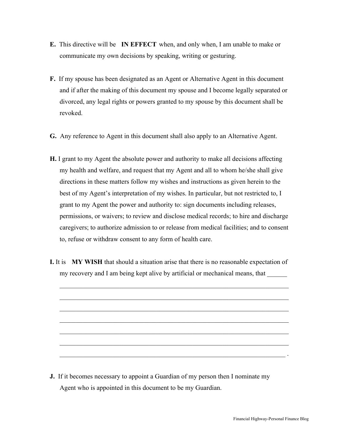- **E.** This directive will be **IN EFFECT** when, and only when, I am unable to make or communicate my own decisions by speaking, writing or gesturing.
- **F.** If my spouse has been designated as an Agent or Alternative Agent in this document and if after the making of this document my spouse and I become legally separated or divorced, any legal rights or powers granted to my spouse by this document shall be revoked.
- **G.** Any reference to Agent in this document shall also apply to an Alternative Agent.
- **H.** I grant to my Agent the absolute power and authority to make all decisions affecting my health and welfare, and request that my Agent and all to whom he/she shall give directions in these matters follow my wishes and instructions as given herein to the best of my Agent's interpretation of my wishes. In particular, but not restricted to, I grant to my Agent the power and authority to: sign documents including releases, permissions, or waivers; to review and disclose medical records; to hire and discharge caregivers; to authorize admission to or release from medical facilities; and to consent to, refuse or withdraw consent to any form of health care.
- **I.** It is **MY WISH** that should a situation arise that there is no reasonable expectation of my recovery and I am being kept alive by artificial or mechanical means, that

\_\_\_\_\_\_\_\_\_\_\_\_\_\_\_\_\_\_\_\_\_\_\_\_\_\_\_\_\_\_\_\_\_\_\_\_\_\_\_\_\_\_\_\_\_\_\_\_\_\_\_\_\_\_\_\_\_\_\_\_\_\_\_\_\_\_\_\_\_

\_\_\_\_\_\_\_\_\_\_\_\_\_\_\_\_\_\_\_\_\_\_\_\_\_\_\_\_\_\_\_\_\_\_\_\_\_\_\_\_\_\_\_\_\_\_\_\_\_\_\_\_\_\_\_\_\_\_\_\_\_\_\_\_\_\_\_\_\_

\_\_\_\_\_\_\_\_\_\_\_\_\_\_\_\_\_\_\_\_\_\_\_\_\_\_\_\_\_\_\_\_\_\_\_\_\_\_\_\_\_\_\_\_\_\_\_\_\_\_\_\_\_\_\_\_\_\_\_\_\_\_\_\_\_\_\_\_\_

\_\_\_\_\_\_\_\_\_\_\_\_\_\_\_\_\_\_\_\_\_\_\_\_\_\_\_\_\_\_\_\_\_\_\_\_\_\_\_\_\_\_\_\_\_\_\_\_\_\_\_\_\_\_\_\_\_\_\_\_\_\_\_\_\_\_\_\_\_

\_\_\_\_\_\_\_\_\_\_\_\_\_\_\_\_\_\_\_\_\_\_\_\_\_\_\_\_\_\_\_\_\_\_\_\_\_\_\_\_\_\_\_\_\_\_\_\_\_\_\_\_\_\_\_\_\_\_\_\_\_\_\_\_\_\_\_\_\_

\_\_\_\_\_\_\_\_\_\_\_\_\_\_\_\_\_\_\_\_\_\_\_\_\_\_\_\_\_\_\_\_\_\_\_\_\_\_\_\_\_\_\_\_\_\_\_\_\_\_\_\_\_\_\_\_\_\_\_\_\_\_\_\_\_\_\_\_\_

\_\_\_\_\_\_\_\_\_\_\_\_\_\_\_\_\_\_\_\_\_\_\_\_\_\_\_\_\_\_\_\_\_\_\_\_\_\_\_\_\_\_\_\_\_\_\_\_\_\_\_\_\_\_\_\_\_\_\_\_\_\_\_\_\_\_\_\_ .

**J.** If it becomes necessary to appoint a Guardian of my person then I nominate my Agent who is appointed in this document to be my Guardian.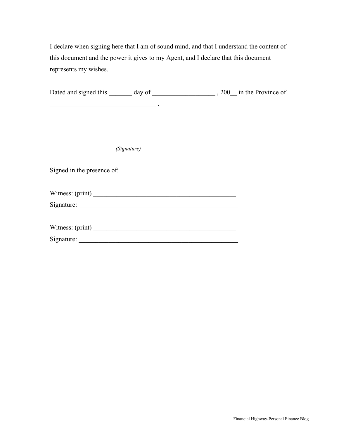I declare when signing here that I am of sound mind, and that I understand the content of this document and the power it gives to my Agent, and I declare that this document represents my wishes.

| <u> 1989 - Johann Barn, fransk politik (f. 1989)</u> |                                                                                                                      |  |
|------------------------------------------------------|----------------------------------------------------------------------------------------------------------------------|--|
|                                                      |                                                                                                                      |  |
|                                                      |                                                                                                                      |  |
|                                                      | <u> 1989 - Johann John Harry Harry Harry Harry Harry Harry Harry Harry Harry Harry Harry Harry Harry Harry Harry</u> |  |
|                                                      | (Signature)                                                                                                          |  |
| Signed in the presence of:                           |                                                                                                                      |  |
| Witness: (print)                                     |                                                                                                                      |  |
|                                                      |                                                                                                                      |  |
|                                                      |                                                                                                                      |  |
|                                                      |                                                                                                                      |  |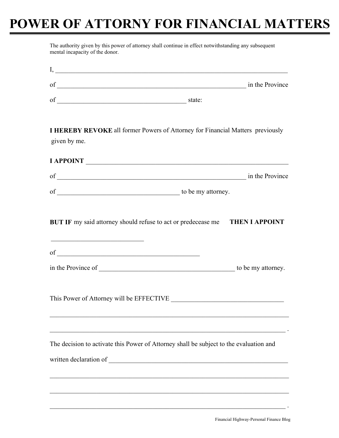#### **POWER OF ATTORNY FOR FINANCIAL MATTERS**

|              | of state:                                                                              |  |
|--------------|----------------------------------------------------------------------------------------|--|
| given by me. | <b>I HEREBY REVOKE</b> all former Powers of Attorney for Financial Matters previously  |  |
|              | I APPOINT                                                                              |  |
|              |                                                                                        |  |
|              |                                                                                        |  |
|              |                                                                                        |  |
|              |                                                                                        |  |
|              | This Power of Attorney will be EFFECTIVE                                               |  |
|              | The decision to activate this Power of Attorney shall be subject to the evaluation and |  |
|              |                                                                                        |  |